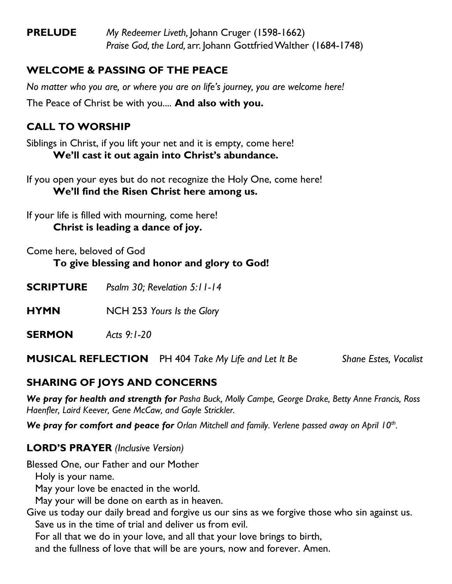**PRELUDE** *My Redeemer Liveth,* Johann Cruger (1598-1662) *Praise God, the Lord,* arr. Johann Gottfried Walther (1684-1748)

# **WELCOME & PASSING OF THE PEACE**

*No matter who you are, or where you are on life's journey, you are welcome here!* The Peace of Christ be with you.... **And also with you.**

# **CALL TO WORSHIP**

Siblings in Christ, if you lift your net and it is empty, come here! **We'll cast it out again into Christ's abundance.**

If you open your eyes but do not recognize the Holy One, come here! **We'll find the Risen Christ here among us.**

If your life is filled with mourning, come here! **Christ is leading a dance of joy.**

Come here, beloved of God **To give blessing and honor and glory to God!**

**SCRIPTURE** *Psalm 30; Revelation 5:11-14*

**HYMN** NCH 253 *Yours Is the Glory*

**SERMON** *Acts 9:1-20*

**MUSICAL REFLECTION** PH 404 *Take My Life and Let It Be Shane Estes, Vocalist*

# **SHARING OF JOYS AND CONCERNS**

*We pray for health and strength for Pasha Buck, Molly Campe, George Drake, Betty Anne Francis, Ross Haenfler, Laird Keever, Gene McCaw, and Gayle Strickler.*

*We pray for comfort and peace for Orlan Mitchell and family. Verlene passed away on April 10th .*

#### **LORD'S PRAYER** *(Inclusive Version)*

Blessed One, our Father and our Mother

Holy is your name.

May your love be enacted in the world.

May your will be done on earth as in heaven.

Give us today our daily bread and forgive us our sins as we forgive those who sin against us. Save us in the time of trial and deliver us from evil.

For all that we do in your love, and all that your love brings to birth,

and the fullness of love that will be are yours, now and forever. Amen.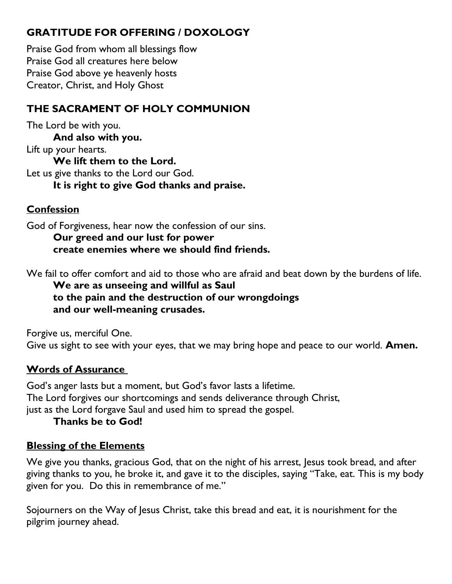# **GRATITUDE FOR OFFERING / DOXOLOGY**

Praise God from whom all blessings flow Praise God all creatures here below Praise God above ye heavenly hosts Creator, Christ, and Holy Ghost

# **THE SACRAMENT OF HOLY COMMUNION**

The Lord be with you. **And also with you.** Lift up your hearts. **We lift them to the Lord.** Let us give thanks to the Lord our God. **It is right to give God thanks and praise.**

# **Confession**

God of Forgiveness, hear now the confession of our sins.

**Our greed and our lust for power create enemies where we should find friends.**

We fail to offer comfort and aid to those who are afraid and beat down by the burdens of life.

**We are as unseeing and willful as Saul to the pain and the destruction of our wrongdoings and our well-meaning crusades.**

Forgive us, merciful One.

Give us sight to see with your eyes, that we may bring hope and peace to our world. **Amen.**

# **Words of Assurance**

God's anger lasts but a moment, but God's favor lasts a lifetime. The Lord forgives our shortcomings and sends deliverance through Christ, just as the Lord forgave Saul and used him to spread the gospel.

#### **Thanks be to God!**

#### **Blessing of the Elements**

We give you thanks, gracious God, that on the night of his arrest, lesus took bread, and after giving thanks to you, he broke it, and gave it to the disciples, saying "Take, eat. This is my body given for you. Do this in remembrance of me."

Sojourners on the Way of Jesus Christ, take this bread and eat, it is nourishment for the pilgrim journey ahead.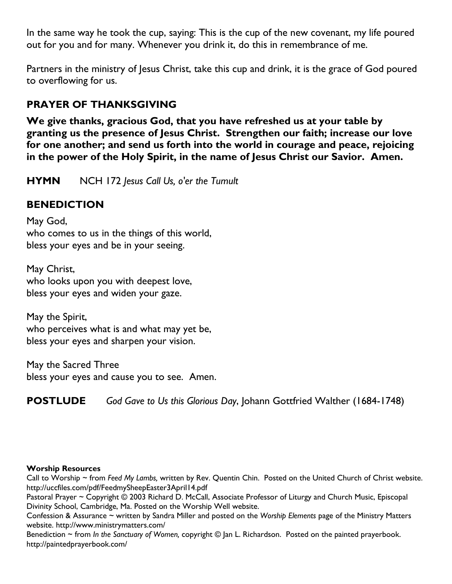In the same way he took the cup, saying: This is the cup of the new covenant, my life poured out for you and for many. Whenever you drink it, do this in remembrance of me.

Partners in the ministry of Jesus Christ, take this cup and drink, it is the grace of God poured to overflowing for us.

# **PRAYER OF THANKSGIVING**

**We give thanks, gracious God, that you have refreshed us at your table by granting us the presence of Jesus Christ. Strengthen our faith; increase our love for one another; and send us forth into the world in courage and peace, rejoicing in the power of the Holy Spirit, in the name of Jesus Christ our Savior. Amen.**

**HYMN** NCH 172 *Jesus Call Us, o'er the Tumult*

## **BENEDICTION**

May God, who comes to us in the things of this world, bless your eyes and be in your seeing.

May Christ, who looks upon you with deepest love, bless your eyes and widen your gaze.

May the Spirit, who perceives what is and what may yet be, bless your eyes and sharpen your vision.

May the Sacred Three bless your eyes and cause you to see. Amen.

**POSTLUDE** *God Gave to Us this Glorious Day*, Johann Gottfried Walther (1684-1748)

#### **Worship Resources**

Call to Worship ~ from *Feed My Lambs,* written by Rev. Quentin Chin. Posted on the United Church of Christ website. <http://uccfiles.com/pdf/FeedmySheepEaster3April14.pdf>

Pastoral Prayer ~ Copyright © 2003 Richard D. McCall, Associate Professor of Liturgy and Church Music, Episcopal Divinity School, Cambridge, Ma. Posted on the [Worship Well](http://www.theworshipwell.org/pdf/WOR_McCall3.pdf) website.

Confession & Assurance ~ written by Sandra Miller and posted on the *Worship Elements* page of the Ministry Matters website.<http://www.ministrymatters.com/>

Benediction ~ from *In the Sanctuary of Women,* copyright © Jan L. Richardson. Posted on the painted prayerbook. <http://paintedprayerbook.com/>